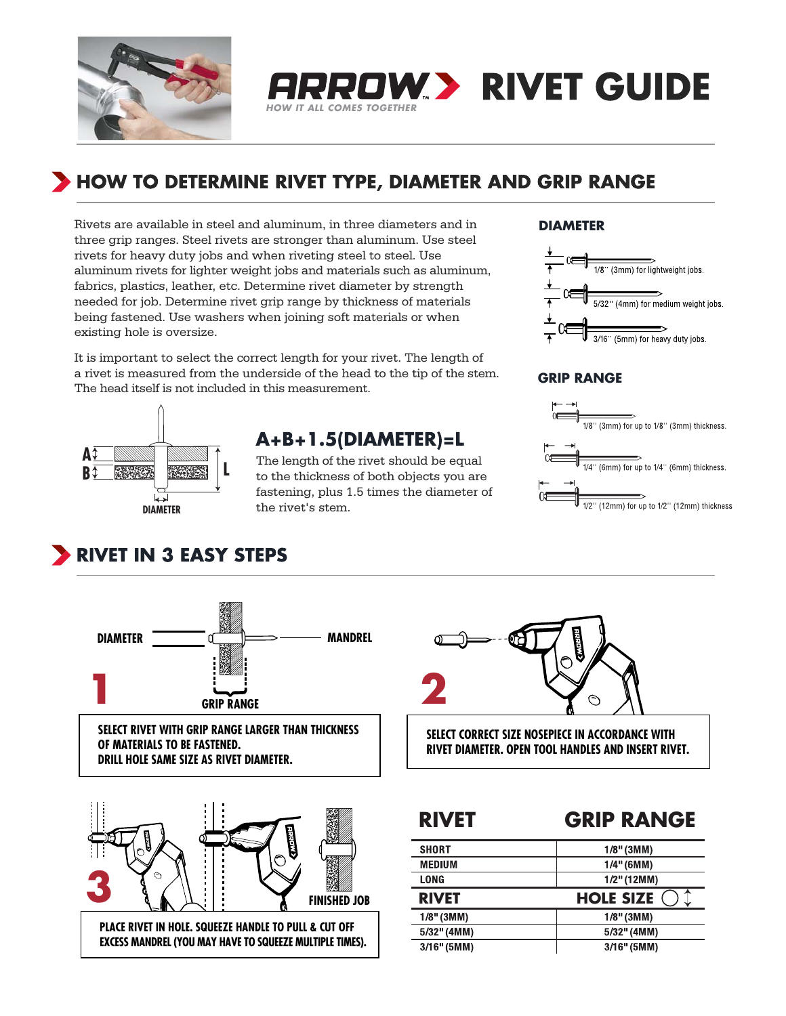

# HOW TO DETERMINE RIVET TYPE, DIAMETER AND GRIP RANGE

*HOW IT ALL COMES TOGETHER*

Rivets are available in steel and aluminum, in three diameters and in three grip ranges. Steel rivets are stronger than aluminum. Use steel rivets for heavy duty jobs and when riveting steel to steel. Use aluminum rivets for lighter weight jobs and materials such as aluminum, fabrics, plastics, leather, etc. Determine rivet diameter by strength needed for job. Determine rivet grip range by thickness of materials being fastened. Use washers when joining soft materials or when existing hole is oversize.

It is important to select the correct length for your rivet. The length of a rivet is measured from the underside of the head to the tip of the stem. The head itself is not included in this measurement.



## A+B+1.5(DIAMETER)=L

The length of the rivet should be equal to the thickness of both objects you are fastening, plus 1.5 times the diameter of the rivet's stem.

## **DIAMETER**

**RROW.> RIVET GUIDE** 



## **GRIP RANGE**



# RIVET IN 3 EASY STEPS



### **SELECT RIVET WITH GRIP RANGE LARGER THAN THICKNESS OF MATERIALS TO BE FASTENED. DRILL HOLE SAME SIZE AS RIVET DIAMETER.**





## **RIVET GRIP RANGE**

| <b>SHORT</b>  | $1/8$ " (3MM)         |
|---------------|-----------------------|
| <b>MEDIUM</b> | $1/4"$ (6MM)          |
| LONG          | $1/2$ " (12MM)        |
| <b>RIVET</b>  | ⋏<br><b>HOLE SIZE</b> |
| $1/8$ " (3MM) | $1/8$ " (3MM)         |
| 5/32" (4MM)   | 5/32" (4MM)           |
| $3/16"$ (5MM) | $3/16"$ (5MM)         |